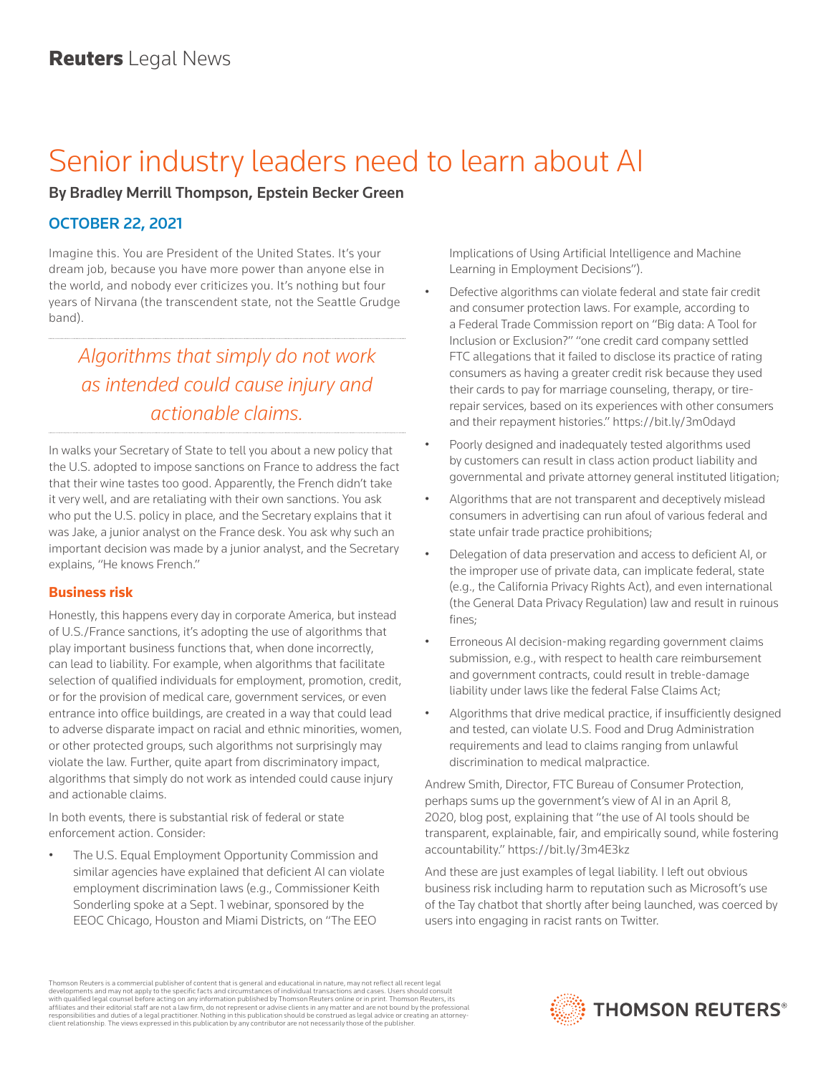# Senior industry leaders need to learn about AI

# By Bradley Merrill Thompson, Epstein Becker Green

# OCTOBER 22, 2021

Imagine this. You are President of the United States. It's your dream job, because you have more power than anyone else in the world, and nobody ever criticizes you. It's nothing but four years of Nirvana (the transcendent state, not the Seattle Grudge band).

# *Algorithms that simply do not work as intended could cause injury and actionable claims.*

In walks your Secretary of State to tell you about a new policy that the U.S. adopted to impose sanctions on France to address the fact that their wine tastes too good. Apparently, the French didn't take it very well, and are retaliating with their own sanctions. You ask who put the U.S. policy in place, and the Secretary explains that it was Jake, a junior analyst on the France desk. You ask why such an important decision was made by a junior analyst, and the Secretary explains, "He knows French."

## **Business risk**

Honestly, this happens every day in corporate America, but instead of U.S./France sanctions, it's adopting the use of algorithms that play important business functions that, when done incorrectly, can lead to liability. For example, when algorithms that facilitate selection of qualified individuals for employment, promotion, credit, or for the provision of medical care, government services, or even entrance into office buildings, are created in a way that could lead to adverse disparate impact on racial and ethnic minorities, women, or other protected groups, such algorithms not surprisingly may violate the law. Further, quite apart from discriminatory impact, algorithms that simply do not work as intended could cause injury and actionable claims.

In both events, there is substantial risk of federal or state enforcement action. Consider:

• The U.S. Equal Employment Opportunity Commission and similar agencies have explained that deficient AI can violate employment discrimination laws (e.g., Commissioner Keith Sonderling spoke at a Sept. 1 webinar, sponsored by the EEOC Chicago, Houston and Miami Districts, on "The EEO

Implications of Using Artificial Intelligence and Machine Learning in Employment Decisions").

- Defective algorithms can violate federal and state fair credit and consumer protection laws. For example, according to a Federal Trade Commission report on "Big data: A Tool for Inclusion or Exclusion?" "one credit card company settled FTC allegations that it failed to disclose its practice of rating consumers as having a greater credit risk because they used their cards to pay for marriage counseling, therapy, or tirerepair services, based on its experiences with other consumers and their repayment histories." https://bit.ly/3m0dayd
- Poorly designed and inadequately tested algorithms used by customers can result in class action product liability and governmental and private attorney general instituted litigation;
- Algorithms that are not transparent and deceptively mislead consumers in advertising can run afoul of various federal and state unfair trade practice prohibitions;
- Delegation of data preservation and access to deficient AI, or the improper use of private data, can implicate federal, state (e.g., the California Privacy Rights Act), and even international (the General Data Privacy Regulation) law and result in ruinous fines;
- Erroneous AI decision-making regarding government claims submission, e.g., with respect to health care reimbursement and government contracts, could result in treble-damage liability under laws like the federal False Claims Act;
- Algorithms that drive medical practice, if insufficiently designed and tested, can violate U.S. Food and Drug Administration requirements and lead to claims ranging from unlawful discrimination to medical malpractice.

Andrew Smith, Director, FTC Bureau of Consumer Protection, perhaps sums up the government's view of AI in an April 8, 2020, blog post, explaining that "the use of AI tools should be transparent, explainable, fair, and empirically sound, while fostering accountability." https://bit.ly/3m4E3kz

And these are just examples of legal liability. I left out obvious business risk including harm to reputation such as Microsoft's use of the Tay chatbot that shortly after being launched, was coerced by users into engaging in racist rants on Twitter.

Thomson Reuters is a commercial publisher of content that is general and educational in nature, may not reflect all recent legal developments and may not apply to the specific facts and circumstances of individual transactions and cases. Users should consult<br>with qualified legal counsel before acting on any information published by Thomson Reuters o responsibilities and duties of a legal practitioner. Nothing in this publication should be construed as legal advice or creating an attorneyclient relationship. The views expressed in this publication by any contributor are not necessarily those of the publisher.

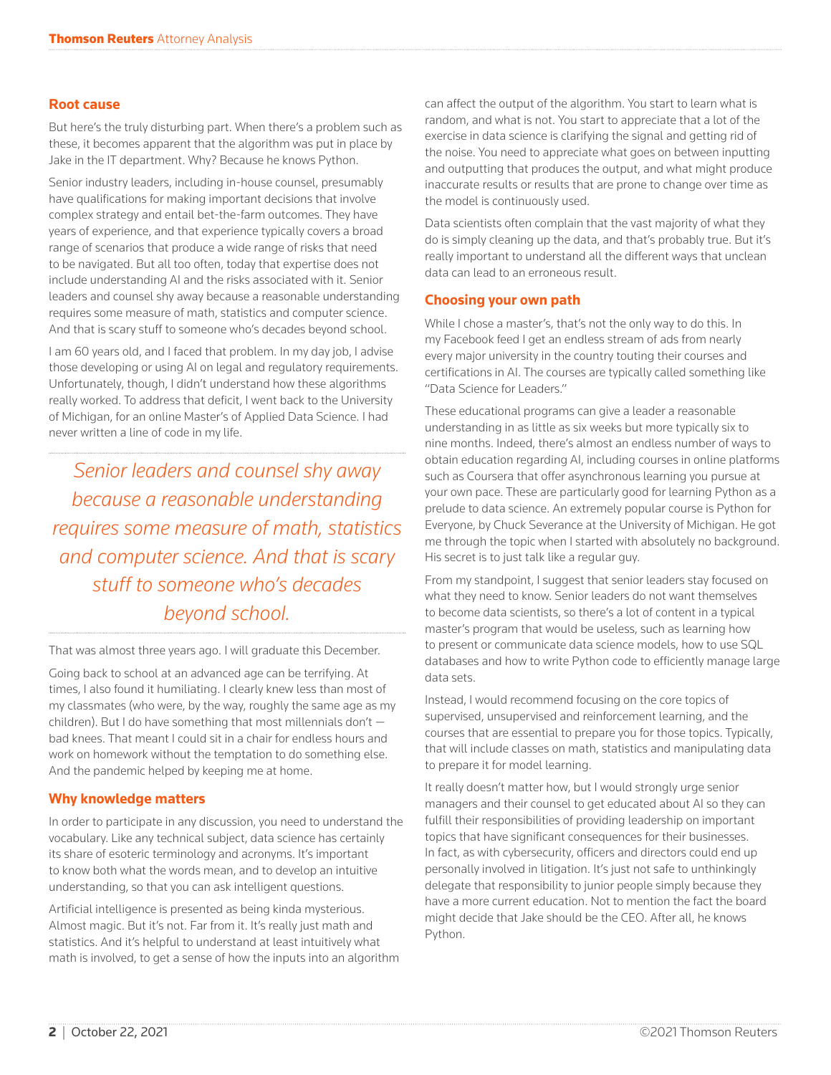### **Root cause**

But here's the truly disturbing part. When there's a problem such as these, it becomes apparent that the algorithm was put in place by Jake in the IT department. Why? Because he knows Python.

Senior industry leaders, including in-house counsel, presumably have qualifications for making important decisions that involve complex strategy and entail bet-the-farm outcomes. They have years of experience, and that experience typically covers a broad range of scenarios that produce a wide range of risks that need to be navigated. But all too often, today that expertise does not include understanding AI and the risks associated with it. Senior leaders and counsel shy away because a reasonable understanding requires some measure of math, statistics and computer science. And that is scary stuff to someone who's decades beyond school.

I am 60 years old, and I faced that problem. In my day job, I advise those developing or using AI on legal and regulatory requirements. Unfortunately, though, I didn't understand how these algorithms really worked. To address that deficit, I went back to the University of Michigan, for an online Master's of Applied Data Science. I had never written a line of code in my life.

*Senior leaders and counsel shy away because a reasonable understanding requires some measure of math, statistics and computer science. And that is scary stuff to someone who's decades beyond school.*

That was almost three years ago. I will graduate this December.

Going back to school at an advanced age can be terrifying. At times, I also found it humiliating. I clearly knew less than most of my classmates (who were, by the way, roughly the same age as my children). But I do have something that most millennials don't bad knees. That meant I could sit in a chair for endless hours and work on homework without the temptation to do something else. And the pandemic helped by keeping me at home.

#### **Why knowledge matters**

In order to participate in any discussion, you need to understand the vocabulary. Like any technical subject, data science has certainly its share of esoteric terminology and acronyms. It's important to know both what the words mean, and to develop an intuitive understanding, so that you can ask intelligent questions.

Artificial intelligence is presented as being kinda mysterious. Almost magic. But it's not. Far from it. It's really just math and statistics. And it's helpful to understand at least intuitively what math is involved, to get a sense of how the inputs into an algorithm can affect the output of the algorithm. You start to learn what is random, and what is not. You start to appreciate that a lot of the exercise in data science is clarifying the signal and getting rid of the noise. You need to appreciate what goes on between inputting and outputting that produces the output, and what might produce inaccurate results or results that are prone to change over time as the model is continuously used.

Data scientists often complain that the vast majority of what they do is simply cleaning up the data, and that's probably true. But it's really important to understand all the different ways that unclean data can lead to an erroneous result.

#### **Choosing your own path**

While I chose a master's, that's not the only way to do this. In my Facebook feed I get an endless stream of ads from nearly every major university in the country touting their courses and certifications in AI. The courses are typically called something like "Data Science for Leaders."

These educational programs can give a leader a reasonable understanding in as little as six weeks but more typically six to nine months. Indeed, there's almost an endless number of ways to obtain education regarding AI, including courses in online platforms such as Coursera that offer asynchronous learning you pursue at your own pace. These are particularly good for learning Python as a prelude to data science. An extremely popular course is Python for Everyone, by Chuck Severance at the University of Michigan. He got me through the topic when I started with absolutely no background. His secret is to just talk like a regular guy.

From my standpoint, I suggest that senior leaders stay focused on what they need to know. Senior leaders do not want themselves to become data scientists, so there's a lot of content in a typical master's program that would be useless, such as learning how to present or communicate data science models, how to use SQL databases and how to write Python code to efficiently manage large data sets.

Instead, I would recommend focusing on the core topics of supervised, unsupervised and reinforcement learning, and the courses that are essential to prepare you for those topics. Typically, that will include classes on math, statistics and manipulating data to prepare it for model learning.

It really doesn't matter how, but I would strongly urge senior managers and their counsel to get educated about AI so they can fulfill their responsibilities of providing leadership on important topics that have significant consequences for their businesses. In fact, as with cybersecurity, officers and directors could end up personally involved in litigation. It's just not safe to unthinkingly delegate that responsibility to junior people simply because they have a more current education. Not to mention the fact the board might decide that Jake should be the CEO. After all, he knows Python.